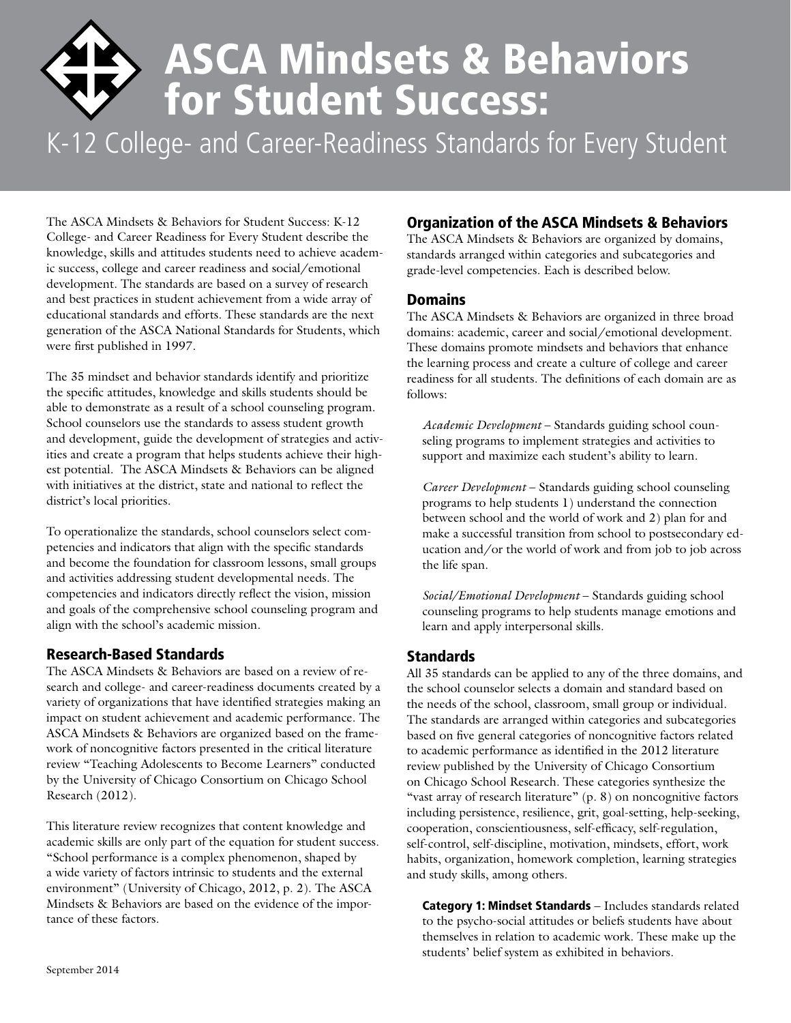

# ASCA Mindsets & Behaviors for Student Success:

K-12 College- and Career-Readiness Standards for Every Student

The ASCA Mindsets & Behaviors for Student Success: K-12 College- and Career Readiness for Every Student describe the knowledge, skills and attitudes students need to achieve academic success, college and career readiness and social/emotional development. The standards are based on a survey of research and best practices in student achievement from a wide array of educational standards and efforts. These standards are the next generation of the ASCA National Standards for Students, which were first published in 1997.

The 35 mindset and behavior standards identify and prioritize the specific attitudes, knowledge and skills students should be able to demonstrate as a result of a school counseling program. School counselors use the standards to assess student growth and development, guide the development of strategies and activities and create a program that helps students achieve their highest potential. The ASCA Mindsets & Behaviors can be aligned with initiatives at the district, state and national to reflect the district's local priorities.

To operationalize the standards, school counselors select competencies and indicators that align with the specific standards and become the foundation for classroom lessons, small groups and activities addressing student developmental needs. The competencies and indicators directly reflect the vision, mission and goals of the comprehensive school counseling program and align with the school's academic mission.

#### Research-Based Standards

The ASCA Mindsets & Behaviors are based on a review of research and college- and career-readiness documents created by a variety of organizations that have identified strategies making an impact on student achievement and academic performance. The ASCA Mindsets & Behaviors are organized based on the framework of noncognitive factors presented in the critical literature review "Teaching Adolescents to Become Learners" conducted by the University of Chicago Consortium on Chicago School Research (2012).

This literature review recognizes that content knowledge and academic skills are only part of the equation for student success. "School performance is a complex phenomenon, shaped by a wide variety of factors intrinsic to students and the external environment" (University of Chicago, 2012, p. 2). The ASCA Mindsets & Behaviors are based on the evidence of the importance of these factors.

#### Organization of the ASCA Mindsets & Behaviors

The ASCA Mindsets & Behaviors are organized by domains, standards arranged within categories and subcategories and grade-level competencies. Each is described below.

#### Domains

The ASCA Mindsets & Behaviors are organized in three broad domains: academic, career and social/emotional development. These domains promote mindsets and behaviors that enhance the learning process and create a culture of college and career readiness for all students. The definitions of each domain are as follows:

*Academic Development* – Standards guiding school counseling programs to implement strategies and activities to support and maximize each student's ability to learn.

*Career Development* – Standards guiding school counseling programs to help students 1) understand the connection between school and the world of work and 2) plan for and make a successful transition from school to postsecondary education and/or the world of work and from job to job across the life span.

*Social/Emotional Development* – Standards guiding school counseling programs to help students manage emotions and learn and apply interpersonal skills.

#### **Standards**

All 35 standards can be applied to any of the three domains, and the school counselor selects a domain and standard based on the needs of the school, classroom, small group or individual. The standards are arranged within categories and subcategories based on five general categories of noncognitive factors related to academic performance as identified in the 2012 literature review published by the University of Chicago Consortium on Chicago School Research. These categories synthesize the "vast array of research literature" (p. 8) on noncognitive factors including persistence, resilience, grit, goal-setting, help-seeking, cooperation, conscientiousness, self-efficacy, self-regulation, self-control, self-discipline, motivation, mindsets, effort, work habits, organization, homework completion, learning strategies and study skills, among others.

Category 1: Mindset Standards – Includes standards related to the psycho-social attitudes or beliefs students have about themselves in relation to academic work. These make up the students' belief system as exhibited in behaviors.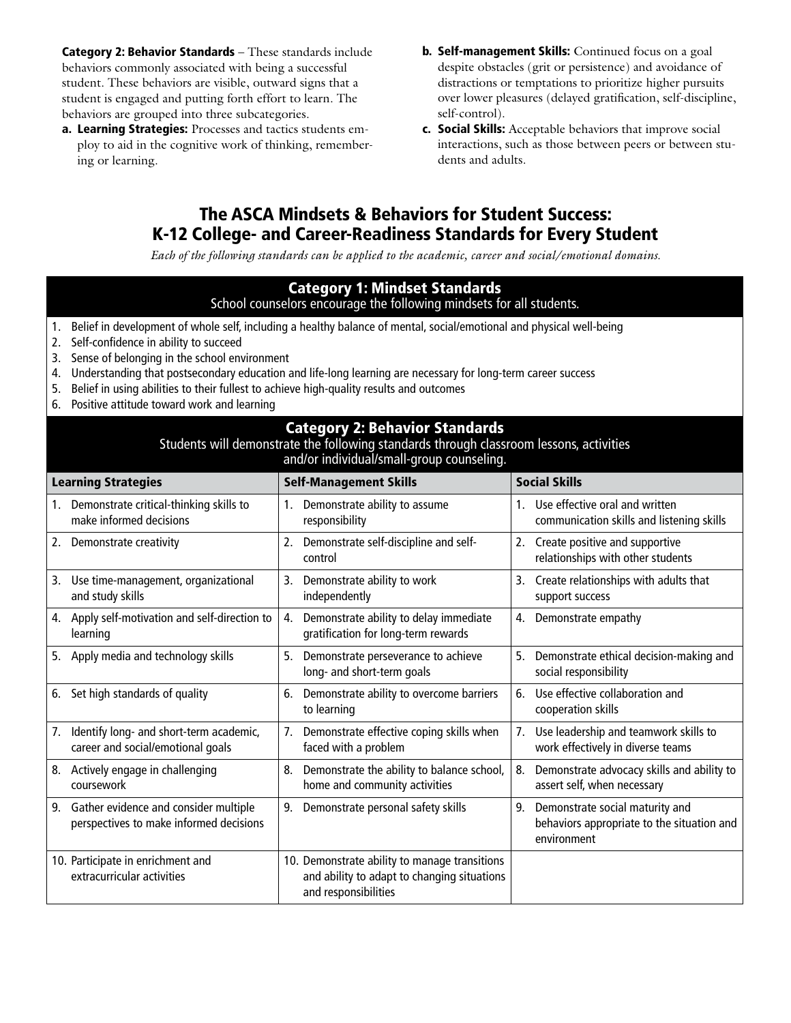Category 2: Behavior Standards – These standards include behaviors commonly associated with being a successful student. These behaviors are visible, outward signs that a student is engaged and putting forth effort to learn. The behaviors are grouped into three subcategories.

- a. Learning Strategies: Processes and tactics students employ to aid in the cognitive work of thinking, remembering or learning.
- b. Self-management Skills: Continued focus on a goal despite obstacles (grit or persistence) and avoidance of distractions or temptations to prioritize higher pursuits over lower pleasures (delayed gratification, self-discipline, self-control).
- c. Social Skills: Acceptable behaviors that improve social interactions, such as those between peers or between students and adults.

### The ASCA Mindsets & Behaviors for Student Success: K-12 College- and Career-Readiness Standards for Every Student

*Each of the following standards can be applied to the academic, career and social/emotional domains.*

#### Category 1: Mindset Standards School counselors encourage the following mindsets for all students.

- 1. Belief in development of whole self, including a healthy balance of mental, social/emotional and physical well-being
- 2. Self-confidence in ability to succeed
- 3. Sense of belonging in the school environment
- 4. Understanding that postsecondary education and life-long learning are necessary for long-term career success
- 5. Belief in using abilities to their fullest to achieve high-quality results and outcomes
- 6. Positive attitude toward work and learning

#### Category 2: Behavior Standards

#### Students will demonstrate the following standards through classroom lessons, activities and/or individual/small-group counseling.

| <b>Learning Strategies</b>                                                             | <b>Self-Management Skills</b>                                                                                        | <b>Social Skills</b>                                                                               |
|----------------------------------------------------------------------------------------|----------------------------------------------------------------------------------------------------------------------|----------------------------------------------------------------------------------------------------|
| Demonstrate critical-thinking skills to<br>1.<br>make informed decisions               | Demonstrate ability to assume<br>$1_{-}$<br>responsibility                                                           | Use effective oral and written<br>$1_{-}$<br>communication skills and listening skills             |
| Demonstrate creativity<br>2.                                                           | 2.<br>Demonstrate self-discipline and self-<br>control                                                               | Create positive and supportive<br>2.<br>relationships with other students                          |
| Use time-management, organizational<br>3.<br>and study skills                          | 3.<br>Demonstrate ability to work<br>independently                                                                   | Create relationships with adults that<br>3.<br>support success                                     |
| Apply self-motivation and self-direction to<br>4.<br>learning                          | Demonstrate ability to delay immediate<br>4.<br>gratification for long-term rewards                                  | Demonstrate empathy<br>4.                                                                          |
| Apply media and technology skills<br>5.                                                | Demonstrate perseverance to achieve<br>5.<br>long- and short-term goals                                              | Demonstrate ethical decision-making and<br>5.<br>social responsibility                             |
| Set high standards of quality<br>6.                                                    | Demonstrate ability to overcome barriers<br>6.<br>to learning                                                        | Use effective collaboration and<br>6.<br>cooperation skills                                        |
| Identify long- and short-term academic,<br>7.<br>career and social/emotional goals     | 7.<br>Demonstrate effective coping skills when<br>faced with a problem                                               | Use leadership and teamwork skills to<br>7.<br>work effectively in diverse teams                   |
| Actively engage in challenging<br>8.<br>coursework                                     | 8.<br>Demonstrate the ability to balance school,<br>home and community activities                                    | Demonstrate advocacy skills and ability to<br>8.<br>assert self, when necessary                    |
| Gather evidence and consider multiple<br>9.<br>perspectives to make informed decisions | Demonstrate personal safety skills<br>9.                                                                             | Demonstrate social maturity and<br>9.<br>behaviors appropriate to the situation and<br>environment |
| 10. Participate in enrichment and<br>extracurricular activities                        | 10. Demonstrate ability to manage transitions<br>and ability to adapt to changing situations<br>and responsibilities |                                                                                                    |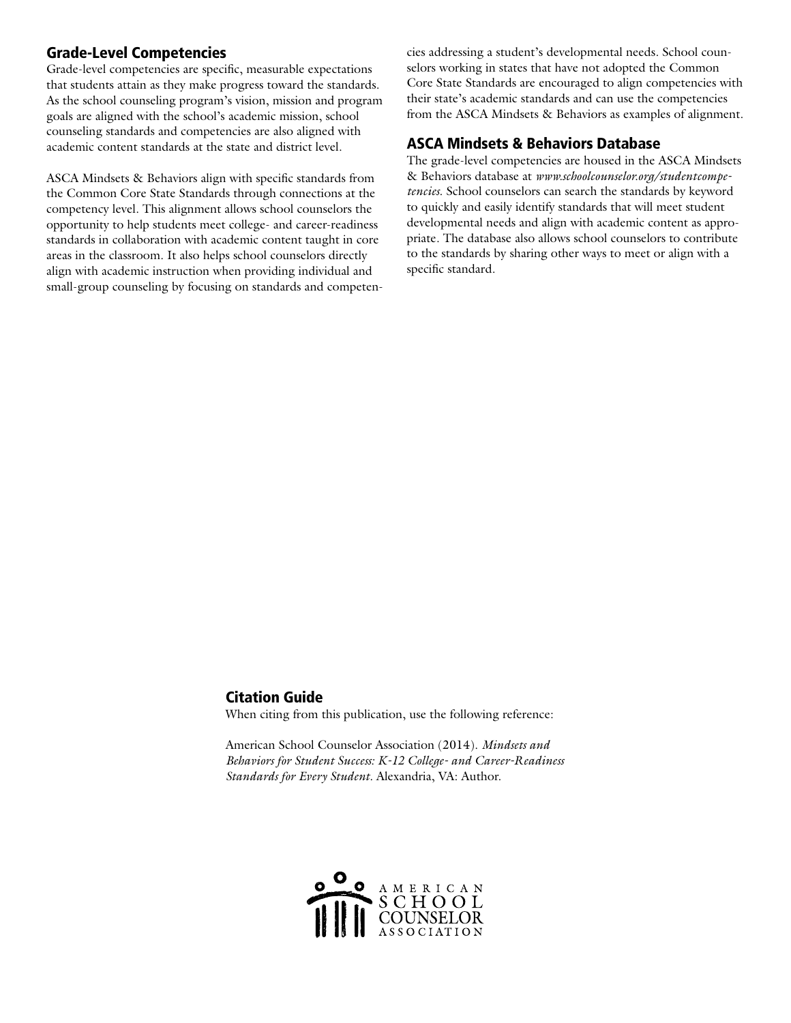#### Grade-Level Competencies

Grade-level competencies are specific, measurable expectations that students attain as they make progress toward the standards. As the school counseling program's vision, mission and program goals are aligned with the school's academic mission, school counseling standards and competencies are also aligned with academic content standards at the state and district level.

ASCA Mindsets & Behaviors align with specific standards from the Common Core State Standards through connections at the competency level. This alignment allows school counselors the opportunity to help students meet college- and career-readiness standards in collaboration with academic content taught in core areas in the classroom. It also helps school counselors directly align with academic instruction when providing individual and small-group counseling by focusing on standards and competencies addressing a student's developmental needs. School counselors working in states that have not adopted the Common Core State Standards are encouraged to align competencies with their state's academic standards and can use the competencies from the ASCA Mindsets & Behaviors as examples of alignment.

#### ASCA Mindsets & Behaviors Database

The grade-level competencies are housed in the ASCA Mindsets & Behaviors database at *www.schoolcounselor.org/studentcompetencies*. School counselors can search the standards by keyword to quickly and easily identify standards that will meet student developmental needs and align with academic content as appropriate. The database also allows school counselors to contribute to the standards by sharing other ways to meet or align with a specific standard.

#### Citation Guide

When citing from this publication, use the following reference:

American School Counselor Association (2014). *Mindsets and Behaviors for Student Success: K-12 College- and Career-Readiness Standards for Every Student.* Alexandria, VA: Author.